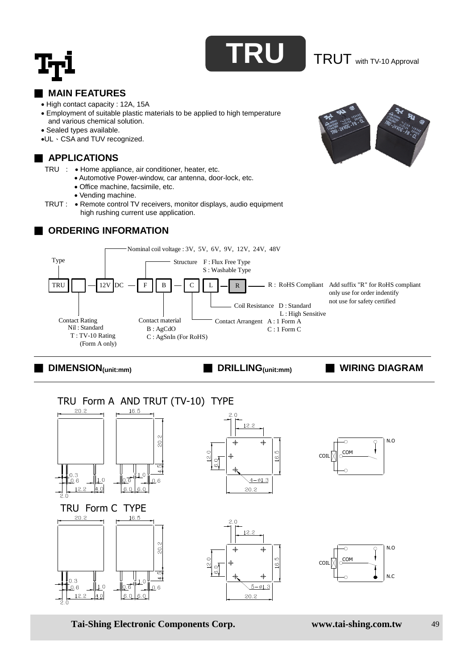

#### **MAIN FEATURES**

- High contact capacity : 12A, 15A
- Employment of suitable plastic materials to be applied to high temperature and various chemical solution.
- Sealed types available.
- UL、CSA and TUV recognized.

# **EXAMPLICATIONS**

- TRU : Home appliance, air conditioner, heater, etc.
	- Automotive Power-window, car antenna, door-lock, etc.
	- Office machine, facsimile, etc.
	- Vending machine.
- TRUT : Remote control TV receivers, monitor displays, audio equipment high rushing current use application.

## **ORDERING INFORMATION**





■ **DIMENSION(unit:mm)** ■ **DRILLING(unit:mm)** ■ **WIRING DIAGRAM**



**Tai-Shing Electronic Components Corp. www.tai-shing.com.tw** 49